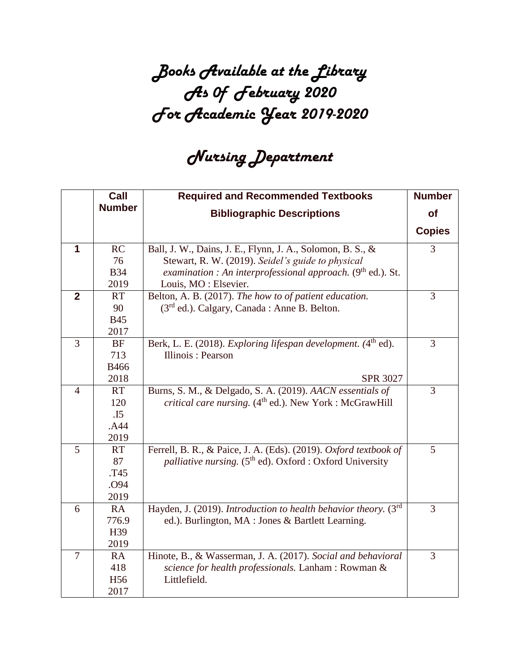## *Books Available at the Library As 0f February 2020 For Academic Year 2019-2020*

## *Nursing Department*

|                | Call            | <b>Required and Recommended Textbooks</b>                                   | <b>Number</b>  |
|----------------|-----------------|-----------------------------------------------------------------------------|----------------|
|                | <b>Number</b>   | <b>Bibliographic Descriptions</b>                                           | <b>of</b>      |
|                |                 |                                                                             | <b>Copies</b>  |
|                |                 |                                                                             |                |
| 1              | RC              | Ball, J. W., Dains, J. E., Flynn, J. A., Solomon, B. S., &                  | 3              |
|                | 76              | Stewart, R. W. (2019). Seidel's guide to physical                           |                |
|                | <b>B34</b>      | examination : An interprofessional approach. $(9th$ ed.). St.               |                |
|                | 2019            | Louis, MO: Elsevier.                                                        |                |
| $\overline{2}$ | <b>RT</b>       | Belton, A. B. (2017). The how to of patient education.                      | 3              |
|                | 90              | (3 <sup>rd</sup> ed.). Calgary, Canada : Anne B. Belton.                    |                |
|                | <b>B45</b>      |                                                                             |                |
|                | 2017            |                                                                             |                |
| $\overline{3}$ | <b>BF</b>       | Berk, L. E. (2018). Exploring lifespan development. (4 <sup>th</sup> ed).   | $\overline{3}$ |
|                | 713             | Illinois: Pearson                                                           |                |
|                | <b>B466</b>     |                                                                             |                |
|                | 2018            | <b>SPR 3027</b>                                                             |                |
| $\overline{4}$ | <b>RT</b>       | Burns, S. M., & Delgado, S. A. (2019). AACN essentials of                   | 3              |
|                | 120             | <i>critical care nursing.</i> $(4th ed.)$ . New York : McGrawHill           |                |
|                | .15             |                                                                             |                |
|                | .A44            |                                                                             |                |
|                | 2019            |                                                                             |                |
| 5              | <b>RT</b>       | Ferrell, B. R., & Paice, J. A. (Eds). (2019). Oxford textbook of            | 5              |
|                | 87              | <i>palliative nursing.</i> (5 <sup>th</sup> ed). Oxford : Oxford University |                |
|                | T45             |                                                                             |                |
|                | .O94            |                                                                             |                |
|                | 2019            |                                                                             |                |
| 6              | RA              | Hayden, J. (2019). Introduction to health behavior theory. (3rd             | 3              |
|                | 776.9           | ed.). Burlington, MA : Jones & Bartlett Learning.                           |                |
|                | H39             |                                                                             |                |
|                | 2019            |                                                                             |                |
| $\overline{7}$ | <b>RA</b>       | Hinote, B., & Wasserman, J. A. (2017). Social and behavioral                | 3              |
|                | 418             | science for health professionals. Lanham: Rowman &                          |                |
|                | H <sub>56</sub> | Littlefield.                                                                |                |
|                | 2017            |                                                                             |                |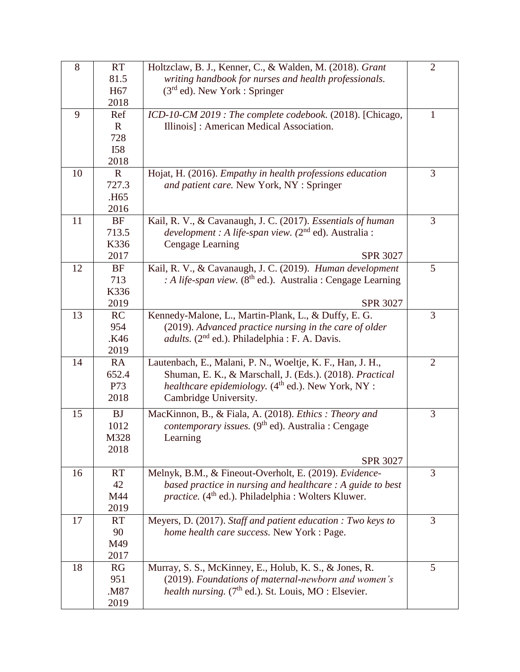| 8  | <b>RT</b>        | Holtzclaw, B. J., Kenner, C., & Walden, M. (2018). Grant          | $\overline{2}$ |
|----|------------------|-------------------------------------------------------------------|----------------|
|    | 81.5             | writing handbook for nurses and health professionals.             |                |
|    | H <sub>67</sub>  | $(3rd$ ed). New York : Springer                                   |                |
|    | 2018             |                                                                   |                |
| 9  | Ref              | ICD-10-CM 2019 : The complete codebook. (2018). [Chicago,         | $\mathbf{1}$   |
|    | $\mathbf{R}$     | Illinois]: American Medical Association.                          |                |
|    | 728              |                                                                   |                |
|    | <b>I58</b>       |                                                                   |                |
|    | 2018             |                                                                   |                |
| 10 | $\mathbf{R}$     | Hojat, H. (2016). Empathy in health professions education         | 3              |
|    | 727.3            | and patient care. New York, NY : Springer                         |                |
|    | .H <sub>65</sub> |                                                                   |                |
|    | 2016             |                                                                   |                |
| 11 | BF               | Kail, R. V., & Cavanaugh, J. C. (2017). Essentials of human       | 3              |
|    | 713.5            | <i>development</i> : A life-span view. $(2^{nd}$ ed). Australia : |                |
|    | K336             | <b>Cengage Learning</b>                                           |                |
|    | 2017             | <b>SPR 3027</b>                                                   |                |
| 12 | BF               | Kail, R. V., & Cavanaugh, J. C. (2019). Human development         | 5              |
|    | 713              | : A life-span view. $(8th$ ed.). Australia : Cengage Learning     |                |
|    | K336             |                                                                   |                |
|    | 2019             | <b>SPR 3027</b>                                                   |                |
| 13 | RC               | Kennedy-Malone, L., Martin-Plank, L., & Duffy, E. G.              | 3              |
|    | 954              | (2019). Advanced practice nursing in the care of older            |                |
|    | .K46             | <i>adults.</i> ( $2nd$ ed.). Philadelphia : F. A. Davis.          |                |
|    | 2019             |                                                                   |                |
| 14 | RA               | Lautenbach, E., Malani, P. N., Woeltje, K. F., Han, J. H.,        | $\overline{2}$ |
|    | 652.4            | Shuman, E. K., & Marschall, J. (Eds.). (2018). Practical          |                |
|    | <b>P73</b>       | <i>healthcare epidemiology.</i> $(4th$ ed.). New York, NY :       |                |
|    | 2018             | Cambridge University.                                             |                |
| 15 | <b>BJ</b>        | MacKinnon, B., & Fiala, A. (2018). Ethics: Theory and             | 3              |
|    | 1012             | contemporary issues. (9 <sup>th</sup> ed). Australia : Cengage    |                |
|    | M328             | Learning                                                          |                |
|    | 2018             |                                                                   |                |
|    |                  | <b>SPR 3027</b>                                                   |                |
| 16 | RT               | Melnyk, B.M., & Fineout-Overholt, E. (2019). Evidence-            | 3              |
|    | 42               | based practice in nursing and healthcare : A guide to best        |                |
|    | M44              | practice. (4 <sup>th</sup> ed.). Philadelphia : Wolters Kluwer.   |                |
|    | 2019             |                                                                   |                |
| 17 | <b>RT</b>        | Meyers, D. (2017). Staff and patient education : Two keys to      | 3              |
|    | 90               | home health care success. New York : Page.                        |                |
|    | M49              |                                                                   |                |
|    | 2017             |                                                                   |                |
| 18 | RG               | Murray, S. S., McKinney, E., Holub, K. S., & Jones, R.            | 5              |
|    | 951              | (2019). Foundations of maternal-newborn and women's               |                |
|    | .M87             | health nursing. (7 <sup>th</sup> ed.). St. Louis, MO : Elsevier.  |                |
|    | 2019             |                                                                   |                |
|    |                  |                                                                   |                |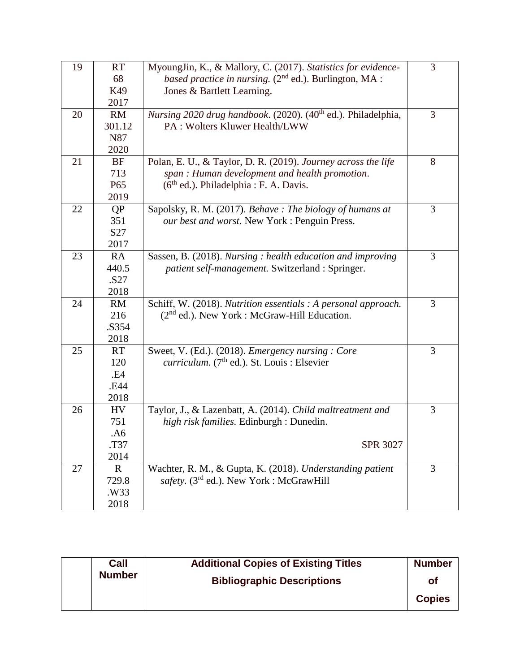| 19 | <b>RT</b>       | MyoungJin, K., & Mallory, C. (2017). Statistics for evidence-             | 3 |
|----|-----------------|---------------------------------------------------------------------------|---|
|    | 68              | based practice in nursing. $(2^{nd}$ ed.). Burlington, MA :               |   |
|    | K49             | Jones & Bartlett Learning.                                                |   |
|    | 2017            |                                                                           |   |
| 20 | RM              | Nursing 2020 drug handbook. (2020). (40 <sup>th</sup> ed.). Philadelphia, | 3 |
|    | 301.12          | PA: Wolters Kluwer Health/LWW                                             |   |
|    | N87             |                                                                           |   |
|    | 2020            |                                                                           |   |
| 21 | <b>BF</b>       | Polan, E. U., & Taylor, D. R. (2019). Journey across the life             | 8 |
|    | 713             | span: Human development and health promotion.                             |   |
|    | P <sub>65</sub> | $(6th$ ed.). Philadelphia : F. A. Davis.                                  |   |
|    | 2019            |                                                                           |   |
| 22 | <b>QP</b>       | Sapolsky, R. M. (2017). Behave: The biology of humans at                  | 3 |
|    | 351             | our best and worst. New York : Penguin Press.                             |   |
|    | S <sub>27</sub> |                                                                           |   |
|    | 2017            |                                                                           |   |
| 23 | RA              | Sassen, B. (2018). Nursing : health education and improving               | 3 |
|    | 440.5           | patient self-management. Switzerland : Springer.                          |   |
|    | .S27            |                                                                           |   |
|    | 2018            |                                                                           |   |
| 24 | RM              | Schiff, W. (2018). Nutrition essentials : A personal approach.            | 3 |
|    | 216             | $(2nd$ ed.). New York : McGraw-Hill Education.                            |   |
|    | .S354           |                                                                           |   |
|    | 2018            |                                                                           |   |
| 25 | <b>RT</b>       | Sweet, V. (Ed.). (2018). <i>Emergency nursing: Core</i>                   | 3 |
|    | 120             | <i>curriculum.</i> $(7th$ ed.). St. Louis : Elsevier                      |   |
|    | .E4             |                                                                           |   |
|    | .E44            |                                                                           |   |
|    | 2018            |                                                                           |   |
| 26 | HV              | Taylor, J., & Lazenbatt, A. (2014). Child maltreatment and                | 3 |
|    | 751             | high risk families. Edinburgh : Dunedin.                                  |   |
|    | .A6             |                                                                           |   |
|    | T37.            | SPR 3027                                                                  |   |
|    | 2014            |                                                                           |   |
| 27 | $\mathbf R$     | Wachter, R. M., & Gupta, K. (2018). Understanding patient                 | 3 |
|    | 729.8           | safety. (3 <sup>rd</sup> ed.). New York : McGrawHill                      |   |
|    | .W33            |                                                                           |   |
|    | 2018            |                                                                           |   |

| Call          | <b>Additional Copies of Existing Titles</b> | <b>Number</b> |
|---------------|---------------------------------------------|---------------|
| <b>Number</b> | <b>Bibliographic Descriptions</b>           | Οf            |
|               |                                             | <b>Copies</b> |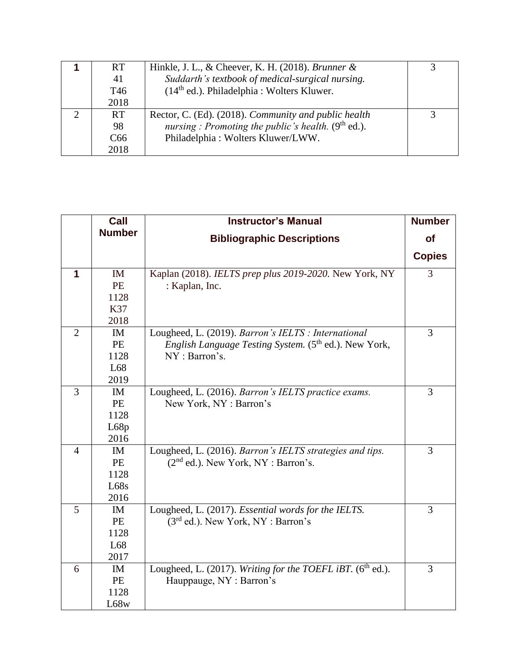| <b>RT</b>       | Hinkle, J. L., & Cheever, K. H. (2018). Brunner $\&$  |  |
|-----------------|-------------------------------------------------------|--|
| 41              | Suddarth's textbook of medical-surgical nursing.      |  |
| T <sub>46</sub> | $(14th$ ed.). Philadelphia : Wolters Kluwer.          |  |
| 2018            |                                                       |  |
| <b>RT</b>       | Rector, C. (Ed). (2018). Community and public health  |  |
| 98              | nursing : Promoting the public's health. $(9th$ ed.). |  |
| C66             | Philadelphia: Wolters Kluwer/LWW.                     |  |
| 2018            |                                                       |  |

|                | Call          | <b>Instructor's Manual</b>                                        | <b>Number</b> |
|----------------|---------------|-------------------------------------------------------------------|---------------|
|                | <b>Number</b> | <b>Bibliographic Descriptions</b>                                 | <b>of</b>     |
|                |               |                                                                   | <b>Copies</b> |
| 1              | IM            | Kaplan (2018). IELTS prep plus 2019-2020. New York, NY            | 3             |
|                | PE            | : Kaplan, Inc.                                                    |               |
|                | 1128          |                                                                   |               |
|                | K37           |                                                                   |               |
|                | 2018          |                                                                   |               |
| $\overline{2}$ | IM            | Lougheed, L. (2019). Barron's IELTS : International               | 3             |
|                | <b>PE</b>     | English Language Testing System. (5 <sup>th</sup> ed.). New York, |               |
|                | 1128          | NY: Barron's.                                                     |               |
|                | L68           |                                                                   |               |
|                | 2019          |                                                                   |               |
| $\overline{3}$ | IM            | Lougheed, L. (2016). Barron's IELTS practice exams.               | 3             |
|                | PE            | New York, NY: Barron's                                            |               |
|                | 1128          |                                                                   |               |
|                | L68p          |                                                                   |               |
|                | 2016          |                                                                   |               |
| $\overline{4}$ | IM            | Lougheed, L. (2016). Barron's IELTS strategies and tips.          | 3             |
|                | PE            | $(2nd$ ed.). New York, NY : Barron's.                             |               |
|                | 1128          |                                                                   |               |
|                | L68s          |                                                                   |               |
|                | 2016          |                                                                   |               |
| 5              | IM            | Lougheed, L. (2017). Essential words for the IELTS.               | 3             |
|                | PE            | $(3rd$ ed.). New York, NY : Barron's                              |               |
|                | 1128          |                                                                   |               |
|                | L68           |                                                                   |               |
|                | 2017          |                                                                   |               |
| 6              | <b>IM</b>     | Lougheed, L. (2017). Writing for the TOEFL iBT. ( $6th$ ed.).     | 3             |
|                | <b>PE</b>     | Hauppauge, NY: Barron's                                           |               |
|                | 1128          |                                                                   |               |
|                | L68w          |                                                                   |               |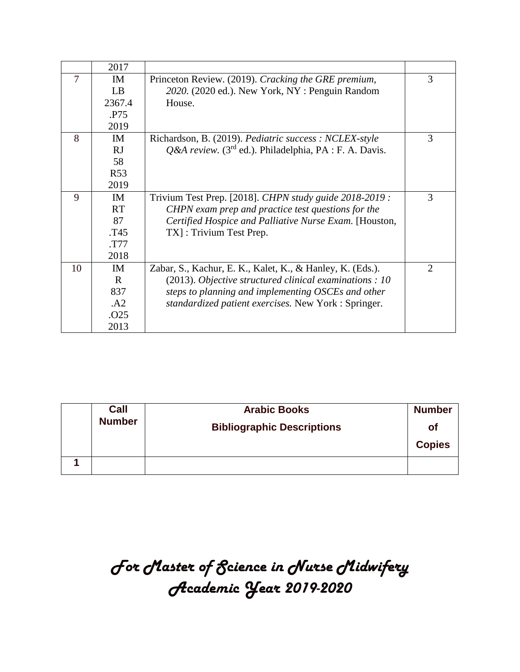|    | 2017         |                                                                       |   |
|----|--------------|-----------------------------------------------------------------------|---|
| 7  | IM           | Princeton Review. (2019). Cracking the GRE premium,                   | 3 |
|    | LB           | 2020. (2020 ed.). New York, NY: Penguin Random                        |   |
|    | 2367.4       | House.                                                                |   |
|    | .P75         |                                                                       |   |
|    | 2019         |                                                                       |   |
| 8  | IM           | Richardson, B. (2019). Pediatric success: NCLEX-style                 | 3 |
|    | RJ           | $Q$ &A review. (3 <sup>rd</sup> ed.). Philadelphia, PA : F. A. Davis. |   |
|    | 58           |                                                                       |   |
|    | <b>R53</b>   |                                                                       |   |
|    | 2019         |                                                                       |   |
| 9  | <b>IM</b>    | Trivium Test Prep. [2018]. CHPN study guide 2018-2019 :               | 3 |
|    | <b>RT</b>    | CHPN exam prep and practice test questions for the                    |   |
|    | 87           | Certified Hospice and Palliative Nurse Exam. [Houston,                |   |
|    | T45.         | TX]: Trivium Test Prep.                                               |   |
|    | .T77         |                                                                       |   |
|    | 2018         |                                                                       |   |
| 10 | IM           | Zabar, S., Kachur, E. K., Kalet, K., & Hanley, K. (Eds.).             | 2 |
|    | $\mathbf{R}$ | (2013). Objective structured clinical examinations : 10               |   |
|    | 837          | steps to planning and implementing OSCEs and other                    |   |
|    | .A2          | standardized patient exercises. New York : Springer.                  |   |
|    | .O25         |                                                                       |   |
|    | 2013         |                                                                       |   |

|  | Call<br><b>Number</b> | <b>Arabic Books</b>               | <b>Number</b> |
|--|-----------------------|-----------------------------------|---------------|
|  |                       | <b>Bibliographic Descriptions</b> | Οf            |
|  |                       |                                   | <b>Copies</b> |
|  |                       |                                   |               |

## *For Master of Science in Nurse Midwifery Academic Year 2019-2020*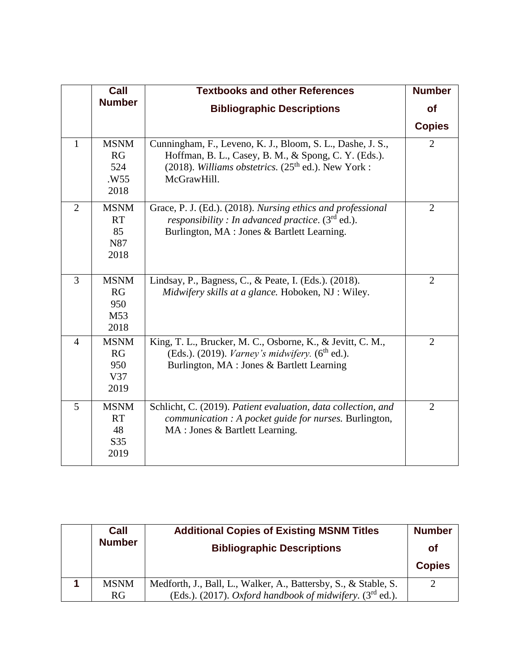|                | Call                                          | <b>Textbooks and other References</b>                                                                                                                                                     | <b>Number</b>  |
|----------------|-----------------------------------------------|-------------------------------------------------------------------------------------------------------------------------------------------------------------------------------------------|----------------|
|                | <b>Number</b>                                 | <b>Bibliographic Descriptions</b>                                                                                                                                                         | <b>of</b>      |
|                |                                               |                                                                                                                                                                                           | <b>Copies</b>  |
| $\mathbf{1}$   | <b>MSNM</b><br>RG<br>524<br>.W55<br>2018      | Cunningham, F., Leveno, K. J., Bloom, S. L., Dashe, J. S.,<br>Hoffman, B. L., Casey, B. M., & Spong, C. Y. (Eds.).<br>(2018). Williams obstetrics. $(25th$ ed.). New York:<br>McGrawHill. | $\overline{2}$ |
| $\overline{2}$ | <b>MSNM</b><br><b>RT</b><br>85<br>N87<br>2018 | Grace, P. J. (Ed.). (2018). Nursing ethics and professional<br><i>responsibility</i> : In advanced practice. $(3rd$ ed.).<br>Burlington, MA : Jones & Bartlett Learning.                  | $\overline{2}$ |
| $\overline{3}$ | <b>MSNM</b><br>RG<br>950<br>M53<br>2018       | Lindsay, P., Bagness, C., & Peate, I. (Eds.). (2018).<br>Midwifery skills at a glance. Hoboken, NJ : Wiley.                                                                               | $\overline{2}$ |
| $\overline{4}$ | <b>MSNM</b><br>RG<br>950<br>V37<br>2019       | King, T. L., Brucker, M. C., Osborne, K., & Jevitt, C. M.,<br>(Eds.). (2019). <i>Varney's midwifery.</i> ( $6th$ ed.).<br>Burlington, MA : Jones & Bartlett Learning                      | $\overline{2}$ |
| 5              | <b>MSNM</b><br><b>RT</b><br>48<br>S35<br>2019 | Schlicht, C. (2019). Patient evaluation, data collection, and<br>communication : A pocket guide for nurses. Burlington,<br>MA : Jones & Bartlett Learning.                                | $\overline{2}$ |

| Call          | <b>Additional Copies of Existing MSNM Titles</b>                      | <b>Number</b> |
|---------------|-----------------------------------------------------------------------|---------------|
| <b>Number</b> | <b>Bibliographic Descriptions</b>                                     | Οf            |
|               |                                                                       | <b>Copies</b> |
| <b>MSNM</b>   | Medforth, J., Ball, L., Walker, A., Battersby, S., & Stable, S.       | 2             |
| RG            | (Eds.). (2017). Oxford handbook of midwifery. ( $3^{\text{rd}}$ ed.). |               |